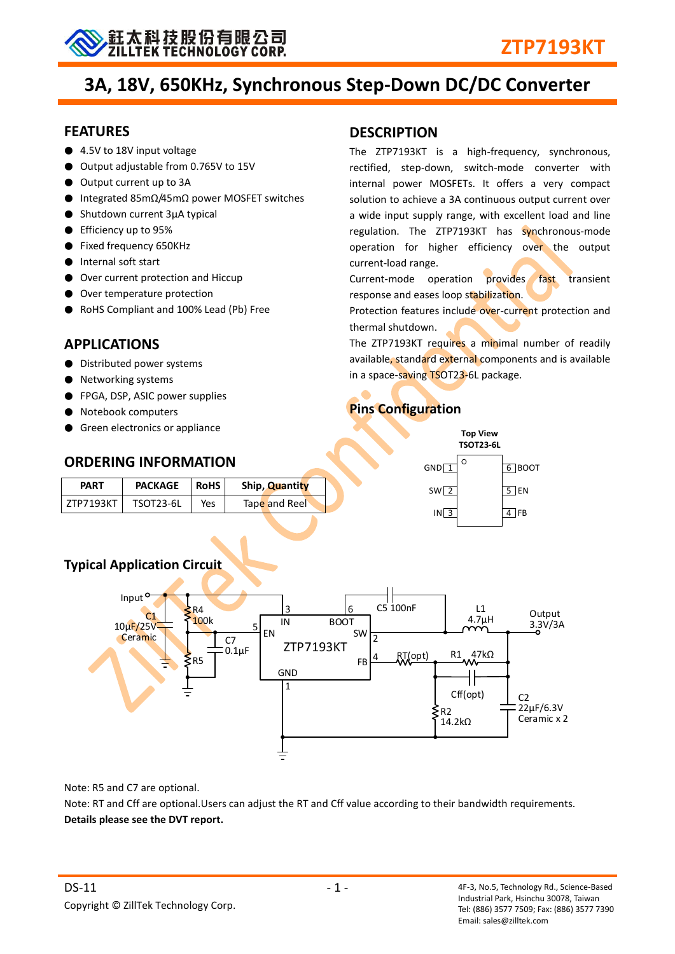

# **3A, 18V, 650KHz, Synchronous Step-Down DC/DC Converter**

#### **FEATURES**

- 4.5V to 18V input voltage
- Output adjustable from 0.765V to 15V
- Output current up to 3A
- Integrated 85mΩ/45mΩ power MOSFET switches
- Shutdown current 3μA typical
- Efficiency up to 95%
- Fixed frequency 650KHz
- Internal soft start
- Over current protection and Hiccup
- Over temperature protection
- RoHS Compliant and 100% Lead (Pb) Free

## **APPLICATIONS**

- Distributed power systems
- Networking systems
- FPGA, DSP, ASIC power supplies
- Notebook computers
- Green electronics or appliance

### **ORDERING INFORMATION**

| <b>PART</b> | <b>PACKAGE</b>   | <b>RoHS</b> | Ship, Quantity |
|-------------|------------------|-------------|----------------|
| ZTP7193KT   | <b>TSOT23-6L</b> | Yes         | Tape and Reel  |

### **DESCRIPTION**

The ZTP7193KT is a high-frequency, synchronous, rectified, step-down, switch-mode converter with internal power MOSFETs. It offers a very compact solution to achieve a 3A continuous output current over a wide input supply range, with excellent load and line regulation. The ZTP7193KT has synchronous-mode operation for higher efficiency over the output current-load range.

Current-mode operation provides fast transient response and eases loop stabilization.

Protection features include over-current protection and thermal shutdown.

The ZTP7193KT requires a minimal number of readily available, standard external components and is available in a space-saving TSOT23-6L package.

## **Pins Configuration**

|                    | <b>Top View</b><br><b>TSOT23-6L</b> |           |
|--------------------|-------------------------------------|-----------|
| $GND$ <sup>1</sup> | Ω                                   | $6$ BOOT  |
| SW <sub>2</sub>    |                                     | TEN<br>.5 |
| IN <sub>3</sub>    |                                     | FB<br>4   |



Note: R5 and C7 are optional.

Note: RT and Cff are optional.Users can adjust the RT and Cff value according to their bandwidth requirements. **Details please see the DVT report.**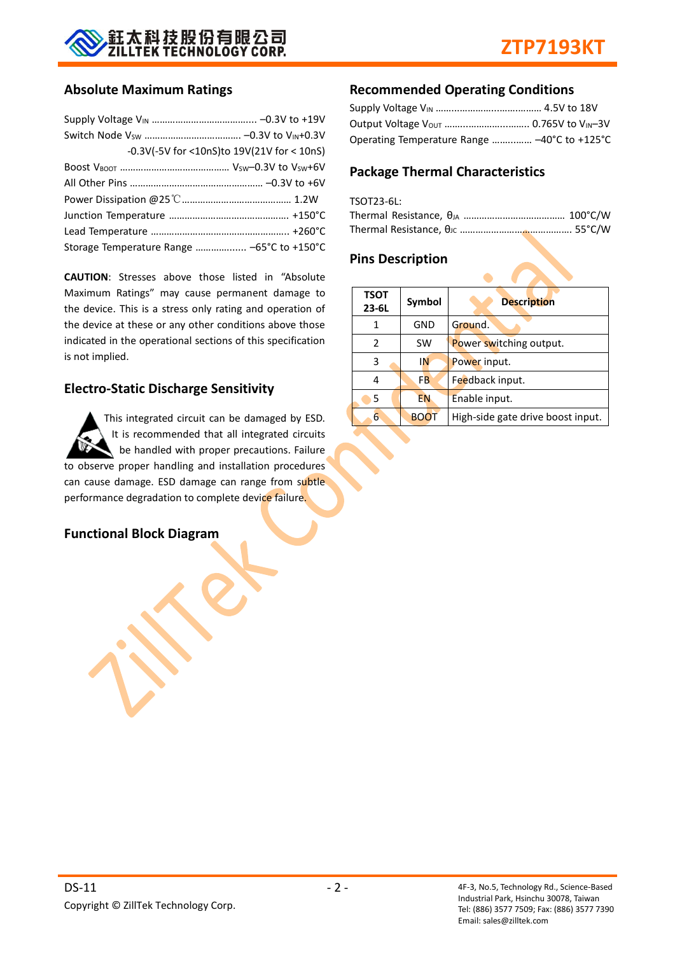

#### **Absolute Maximum Ratings**

| -0.3V(-5V for <10nS)to 19V(21V for < 10nS) |  |
|--------------------------------------------|--|
|                                            |  |
|                                            |  |
|                                            |  |
|                                            |  |
|                                            |  |
| Storage Temperature Range  -65°C to +150°C |  |

**CAUTION**: Stresses above those listed in "Absolute Maximum Ratings" may cause permanent damage to the device. This is a stress only rating and operation of the device at these or any other conditions above those indicated in the operational sections of this specification is not implied.

#### **Electro-Static Discharge Sensitivity**

This integrated circuit can be damaged by ESD. It is recommended that all integrated circuits be handled with proper precautions. Failure to observe proper handling and installation procedures can cause damage. ESD damage can range from subtle performance degradation to complete device failure.

#### **Functional Block Diagram**

#### **Recommended Operating Conditions**

| Operating Temperature Range  -40°C to +125°C |  |
|----------------------------------------------|--|

#### **Package Thermal Characteristics**

| TSOT23-6L: |  |
|------------|--|
|            |  |
|            |  |

#### **Pins Description**

| <b>TSOT</b><br>$23 - 6L$ | Symbol      | <b>Description</b>                |  |  |  |
|--------------------------|-------------|-----------------------------------|--|--|--|
|                          | GND         | Ground.                           |  |  |  |
| $\mathcal{P}$            | SW          | Power switching output.           |  |  |  |
| 3                        | IN          | Power input.                      |  |  |  |
| 4                        | <b>FB</b>   | Feedback input.                   |  |  |  |
| 5                        | <b>EN</b>   | Enable input.                     |  |  |  |
| 6                        | <b>BOOT</b> | High-side gate drive boost input. |  |  |  |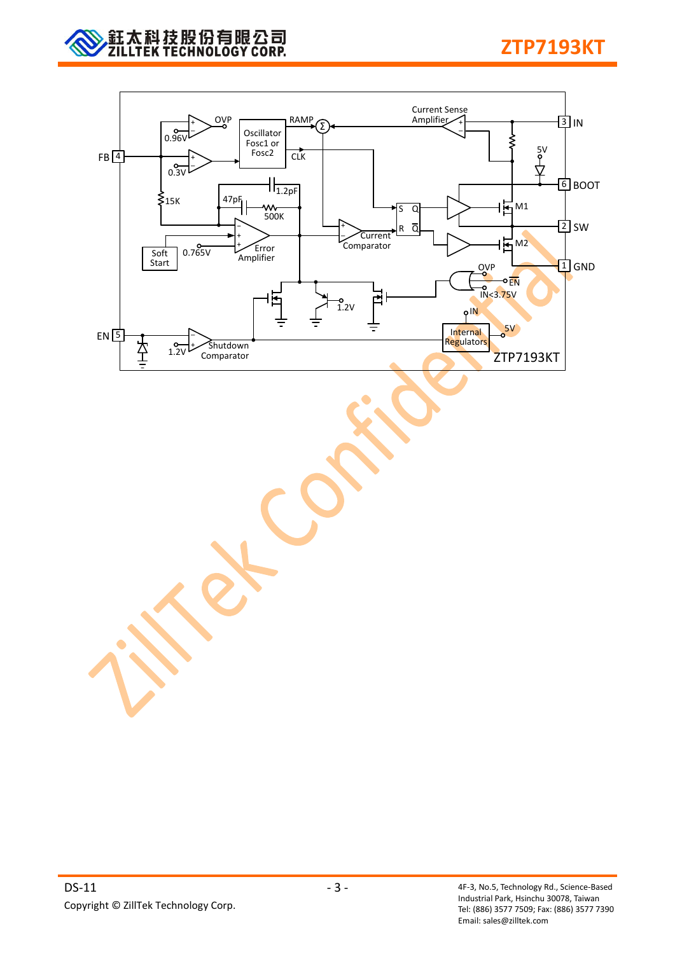

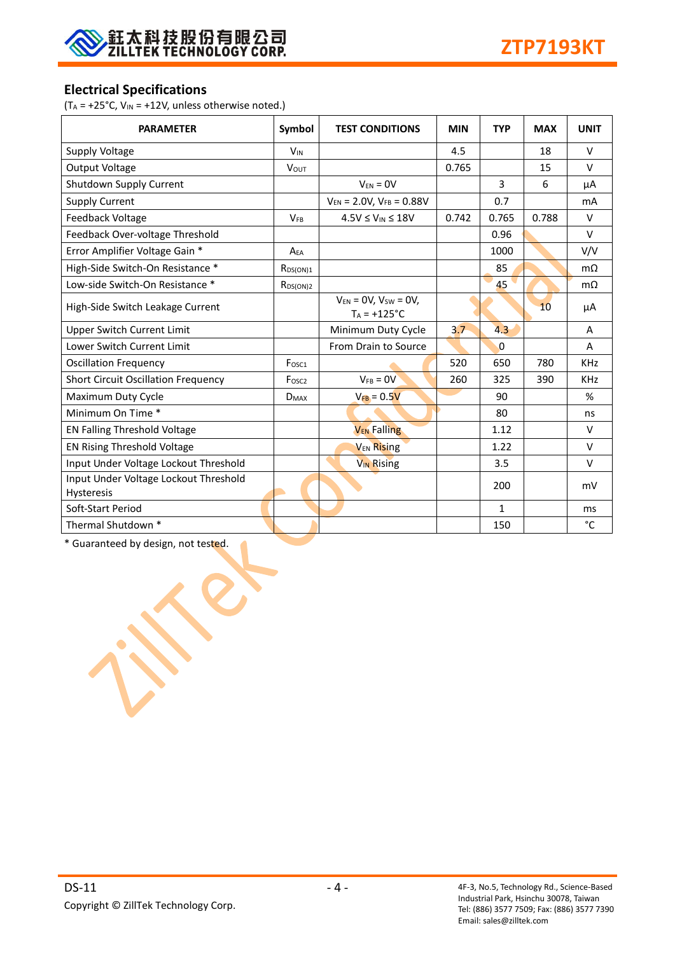

### **Electrical Specifications**

( $T_A = +25$ °C,  $V_{IN} = +12V$ , unless otherwise noted.)

| <b>PARAMETER</b>                                           | Symbol            | <b>TEST CONDITIONS</b>                         | <b>MIN</b> | <b>TYP</b>   | <b>MAX</b> | <b>UNIT</b> |
|------------------------------------------------------------|-------------------|------------------------------------------------|------------|--------------|------------|-------------|
| Supply Voltage                                             | $V_{IN}$          |                                                | 4.5        |              | 18         | $\vee$      |
| Output Voltage                                             | <b>VOUT</b>       |                                                | 0.765      |              | 15         | $\vee$      |
| Shutdown Supply Current                                    |                   | $V_{FN} = 0V$                                  |            | 3            | 6          | μA          |
| <b>Supply Current</b>                                      |                   | $V_{EN}$ = 2.0V, $V_{FB}$ = 0.88V              |            | 0.7          |            | mA          |
| Feedback Voltage                                           | <b>VFB</b>        | $4.5V \leq V_{IN} \leq 18V$                    | 0.742      | 0.765        | 0.788      | $\vee$      |
| Feedback Over-voltage Threshold                            |                   |                                                |            | 0.96         |            | $\vee$      |
| Error Amplifier Voltage Gain *                             | $A_{FA}$          |                                                |            | 1000         |            | V/V         |
| High-Side Switch-On Resistance *                           | $R_{DS(ON)1}$     |                                                |            | 85           |            | $m\Omega$   |
| Low-side Switch-On Resistance *                            | $R_{DS(ON)2}$     |                                                |            | 45           |            | $m\Omega$   |
| High-Side Switch Leakage Current                           |                   | $V_{EN} = OV, V_{SW} = OV,$<br>$T_A = +125$ °C |            |              | 10         | μA          |
| <b>Upper Switch Current Limit</b>                          |                   | Minimum Duty Cycle                             | 3.7        | 4.3          |            | A           |
| Lower Switch Current Limit                                 |                   | From Drain to Source                           |            | $\Omega$     |            | A           |
| <b>Oscillation Frequency</b>                               | Fosc1             |                                                | 520        | 650          | 780        | <b>KHz</b>  |
| <b>Short Circuit Oscillation Frequency</b>                 | Fosc <sub>2</sub> | $V_{FB} = 0V$                                  | 260        | 325          | 390        | <b>KHz</b>  |
| Maximum Duty Cycle                                         | $D_{MAX}$         | $V_{FB} = 0.5V$                                |            | 90           |            | %           |
| Minimum On Time *                                          |                   |                                                |            | 80           |            | ns          |
| <b>EN Falling Threshold Voltage</b>                        |                   | <b>V<sub>EN</sub></b> Falling                  |            | 1.12         |            | $\vee$      |
| EN Rising Threshold Voltage                                |                   | <b>V<sub>EN</sub> Rising</b>                   |            | 1.22         |            | $\vee$      |
| Input Under Voltage Lockout Threshold                      |                   | <b>V<sub>IN</sub></b> Rising                   |            | 3.5          |            | $\vee$      |
| Input Under Voltage Lockout Threshold<br><b>Hysteresis</b> |                   |                                                |            | 200          |            | mV          |
| Soft-Start Period                                          |                   |                                                |            | $\mathbf{1}$ |            | ms          |
| Thermal Shutdown *                                         |                   |                                                |            | 150          |            | °C          |

\* Guaranteed by design, not tested.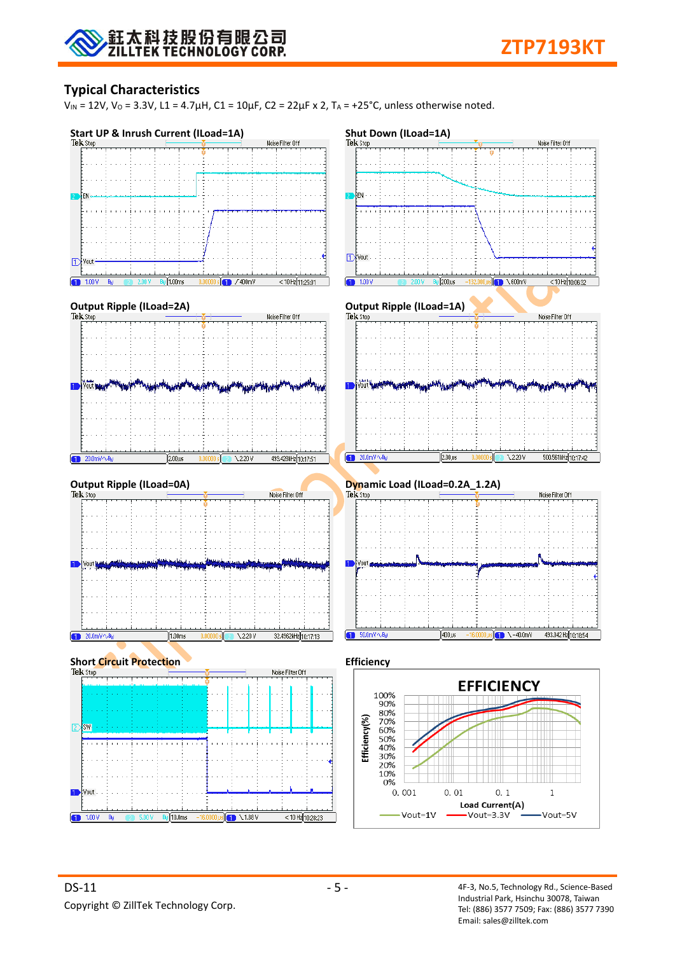

### **Typical Characteristics**

 $V_{IN}$  = 12V,  $V_0$  = 3.3V, L1 = 4.7μH, C1 = 10μF, C2 = 22μF x 2, T<sub>A</sub> = +25°C, unless otherwise noted.

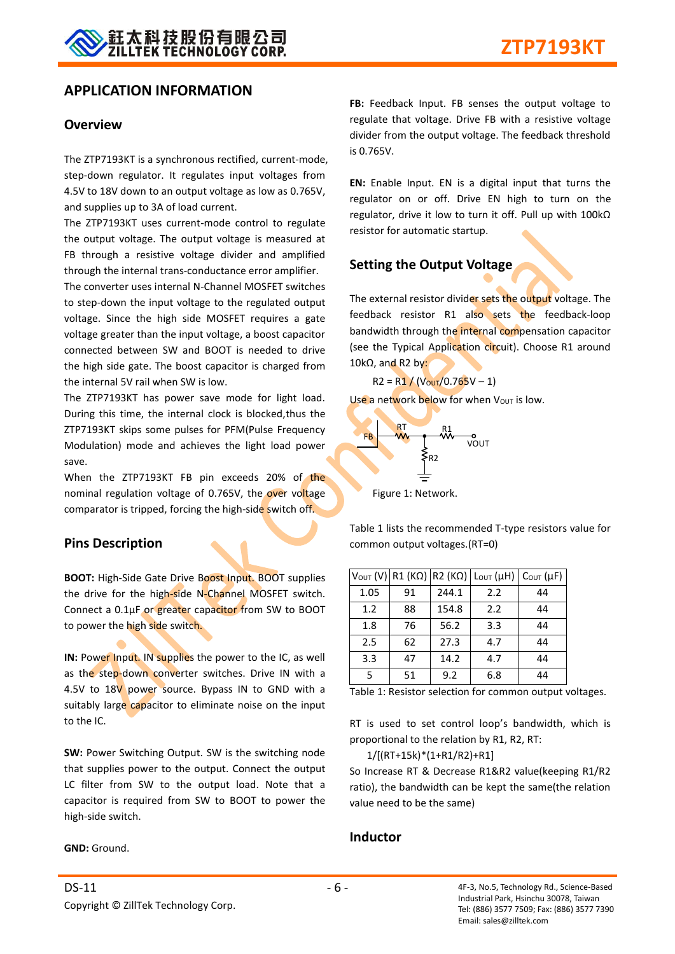#### **APPLICATION INFORMATION**

#### **Overview**

The ZTP7193KT is a synchronous rectified, current-mode, step-down regulator. It regulates input voltages from 4.5V to 18V down to an output voltage as low as 0.765V, and supplies up to 3A of load current.

The ZTP7193KT uses current-mode control to regulate the output voltage. The output voltage is measured at FB through a resistive voltage divider and amplified through the internal trans-conductance error amplifier.

The converter uses internal N-Channel MOSFET switches to step-down the input voltage to the regulated output voltage. Since the high side MOSFET requires a gate voltage greater than the input voltage, a boost capacitor connected between SW and BOOT is needed to drive the high side gate. The boost capacitor is charged from the internal 5V rail when SW is low.

The ZTP7193KT has power save mode for light load. During this time, the internal clock is blocked,thus the ZTP7193KT skips some pulses for PFM(Pulse Frequency Modulation) mode and achieves the light load power save.

When the ZTP7193KT FB pin exceeds 20% of the nominal regulation voltage of 0.765V, the over voltage comparator is tripped, forcing the high-side switch off.

#### **Pins Description**

**BOOT:** High-Side Gate Drive Boost Input. BOOT supplies the drive for the high-side N-Channel MOSFET switch. Connect a 0.1μF or greater capacitor from SW to BOOT to power the high side switch.

**IN:** Power Input. IN supplies the power to the IC, as well as the step-down converter switches. Drive IN with a 4.5V to 18V power source. Bypass IN to GND with a suitably large capacitor to eliminate noise on the input to the IC.

**SW:** Power Switching Output. SW is the switching node that supplies power to the output. Connect the output LC filter from SW to the output load. Note that a capacitor is required from SW to BOOT to power the high-side switch.

**GND:** Ground.

**FB:** Feedback Input. FB senses the output voltage to regulate that voltage. Drive FB with a resistive voltage divider from the output voltage. The feedback threshold is 0.765V.

**EN:** Enable Input. EN is a digital input that turns the regulator on or off. Drive EN high to turn on the regulator, drive it low to turn it off. Pull up with 100kΩ resistor for automatic startup.

#### **Setting the Output Voltage**

The external resistor divider sets the output voltage. The feedback resistor R1 also sets the feedback-loop bandwidth through the internal compensation capacitor (see the Typical Application circuit). Choose R1 around 10kΩ, and R2 by:

 $R2 = R1 / (V_{\text{OUT}}/0.765V - 1)$ 

Use a network below for when  $V_{\text{OUT}}$  is low.



Figure 1: Network.

Table 1 lists the recommended T-type resistors value for common output voltages.(RT=0)

|      |    |       | $V_{\text{OUT}} (V)$ R1 (KΩ) R2 (KΩ) Lout (μH) | $C_{\text{OUT}}(\mu F)$ |
|------|----|-------|------------------------------------------------|-------------------------|
| 1.05 | 91 | 244.1 | 2.2                                            | 44                      |
| 1.2  | 88 | 154.8 | 2.2                                            | 44                      |
| 1.8  | 76 | 56.2  | 3.3                                            | 44                      |
| 2.5  | 62 | 27.3  | 4.7                                            | 44                      |
| 3.3  | 47 | 14.2  | 4.7                                            | 44                      |
| 5    | 51 | 9.2   | 6.8                                            | 44                      |

Table 1: Resistor selection for common output voltages.

RT is used to set control loop's bandwidth, which is proportional to the relation by R1, R2, RT:

1/[(RT+15k)\*(1+R1/R2)+R1]

So Increase RT & Decrease R1&R2 value(keeping R1/R2 ratio), the bandwidth can be kept the same(the relation value need to be the same)

#### **Inductor**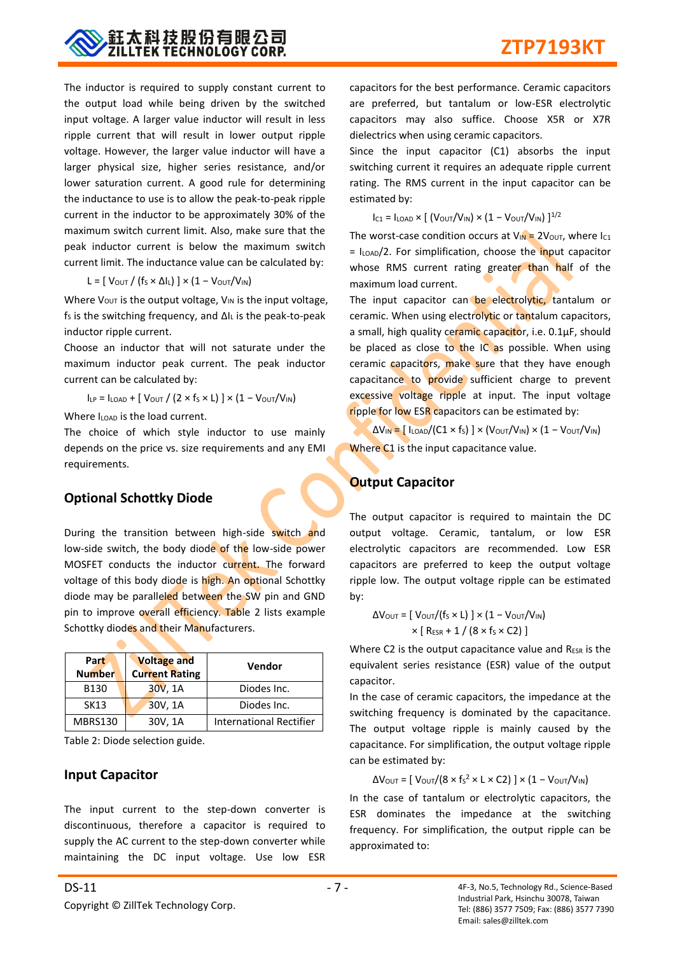

The inductor is required to supply constant current to the output load while being driven by the switched input voltage. A larger value inductor will result in less ripple current that will result in lower output ripple voltage. However, the larger value inductor will have a larger physical size, higher series resistance, and/or lower saturation current. A good rule for determining the inductance to use is to allow the peak-to-peak ripple current in the inductor to be approximately 30% of the maximum switch current limit. Also, make sure that the peak inductor current is below the maximum switch current limit. The inductance value can be calculated by:

L =  $[V_{OUT} / (f_S \times \Delta I_L)] \times (1 - V_{OUT} / V_{IN})$ 

Where  $V_{OUT}$  is the output voltage,  $V_{IN}$  is the input voltage, fs is the switching frequency, and ΔIL is the peak-to-peak inductor ripple current.

Choose an inductor that will not saturate under the maximum inductor peak current. The peak inductor current can be calculated by:

 $I_{LP} = I_{LOAD} + [V_{OUT} / (2 \times f_S \times L)] \times (1 - V_{OUT}/V_{IN})$ 

Where  $I_{\text{LOAD}}$  is the load current.

The choice of which style inductor to use mainly depends on the price vs. size requirements and any EMI requirements.

### **Optional Schottky Diode**

During the transition between high-side switch and low-side switch, the body diode of the low-side power MOSFET conducts the inductor current. The forward voltage of this body diode is high. An optional Schottky diode may be paralleled between the SW pin and GND pin to improve overall efficiency. Table 2 lists example Schottky diodes and their Manufacturers.

| Part<br><b>Number</b> | <b>Voltage and</b><br><b>Current Rating</b> | Vendor                         |
|-----------------------|---------------------------------------------|--------------------------------|
| B130                  | 30V, 1A                                     | Diodes Inc.                    |
| SK13                  | 30V, 1A                                     | Diodes Inc.                    |
| <b>MBRS130</b>        | 30V, 1A                                     | <b>International Rectifier</b> |

Table 2: Diode selection guide.

#### **Input Capacitor**

The input current to the step-down converter is discontinuous, therefore a capacitor is required to supply the AC current to the step-down converter while maintaining the DC input voltage. Use low ESR

capacitors for the best performance. Ceramic capacitors are preferred, but tantalum or low-ESR electrolytic capacitors may also suffice. Choose X5R or X7R dielectrics when using ceramic capacitors.

Since the input capacitor (C1) absorbs the input switching current it requires an adequate ripple current rating. The RMS current in the input capacitor can be estimated by:

 $I_{C1} = I_{LOAD} \times [(V_{OUT}/V_{IN}) \times (1 - V_{OUT}/V_{IN})]^{1/2}$ 

The worst-case condition occurs at  $V_{IN} = 2V_{OUT}$ , where I<sub>C1</sub>  $=$  I<sub>LOAD</sub>/2. For simplification, choose the input capacitor whose RMS current rating greater than half of the maximum load current.

The input capacitor can be electrolytic, tantalum or ceramic. When using electrolytic or tantalum capacitors, a small, high quality ceramic capacitor, i.e. 0.1µF, should be placed as close to the IC as possible. When using ceramic capacitors, make sure that they have enough capacitance to provide sufficient charge to prevent excessive voltage ripple at input. The input voltage ripple for low ESR capacitors can be estimated by:

 $\Delta V_{IN} = [I_{LOAD}/(C1 \times f_S)] \times (V_{OUT}/V_{IN}) \times (1 - V_{OUT}/V_{IN})$ Where C1 is the input capacitance value.

## **Output Capacitor**

The output capacitor is required to maintain the DC output voltage. Ceramic, tantalum, or low ESR electrolytic capacitors are recommended. Low ESR capacitors are preferred to keep the output voltage ripple low. The output voltage ripple can be estimated by:

$$
\Delta V_{\text{OUT}} = [\text{ V}_{\text{OUT}}/(\text{fs} \times \text{L})] \times (1 - \text{ V}_{\text{OUT}}/V_{\text{IN}})
$$

$$
\times [\text{ Res}_R + 1 / (8 \times \text{fs} \times \text{C2})]
$$

Where C2 is the output capacitance value and  $R_{ESR}$  is the equivalent series resistance (ESR) value of the output capacitor.

In the case of ceramic capacitors, the impedance at the switching frequency is dominated by the capacitance. The output voltage ripple is mainly caused by the capacitance. For simplification, the output voltage ripple can be estimated by:

ΔV<sub>OUT</sub> = [ V<sub>OUT</sub>/(8 × f<sub>S</sub><sup>2</sup> × L × C2) ] × (1 – V<sub>OUT</sub>/V<sub>IN</sub>)

In the case of tantalum or electrolytic capacitors, the ESR dominates the impedance at the switching frequency. For simplification, the output ripple can be approximated to: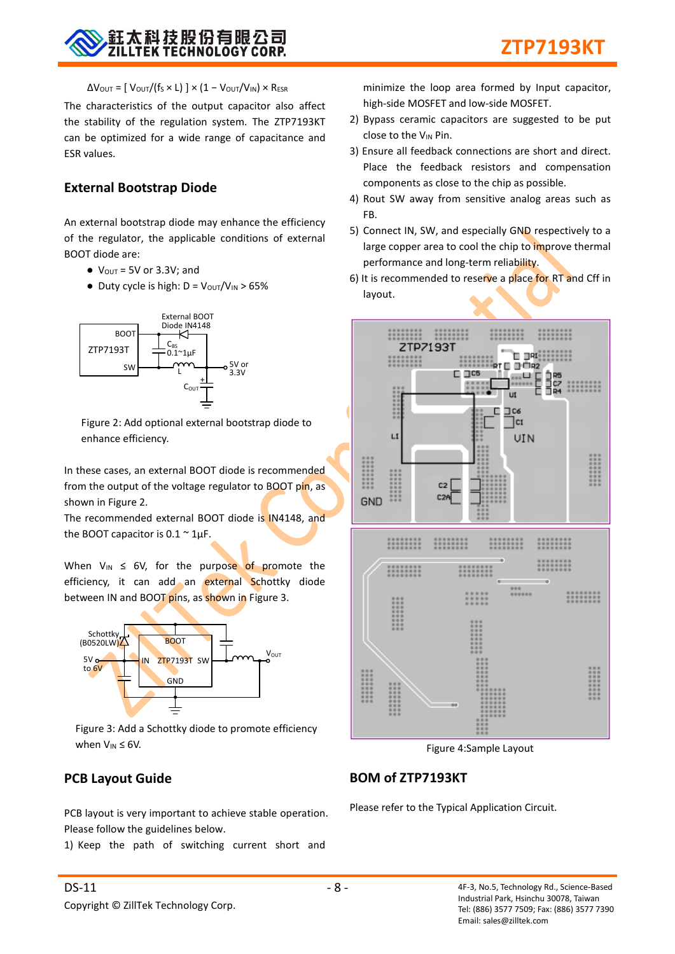

 $\Delta V_{\text{OUT}} = [\text{V}_{\text{OUT}}/(\text{f}_{\text{S}} \times \text{L})] \times (1 - \text{V}_{\text{OUT}}/V_{\text{IN}}) \times \text{R}_{\text{ESR}}$ 

The characteristics of the output capacitor also affect the stability of the regulation system. The ZTP7193KT can be optimized for a wide range of capacitance and ESR values.

#### **External Bootstrap Diode**

An external bootstrap diode may enhance the efficiency of the regulator, the applicable conditions of external BOOT diode are:

- $\bullet$  V<sub>OUT</sub> = 5V or 3.3V; and
- $\bullet$  Duty cycle is high: D =  $V_{\text{OUT}}/V_{\text{IN}} > 65\%$



Figure 2: Add optional external bootstrap diode to enhance efficiency.

In these cases, an external BOOT diode is recommended from the output of the voltage regulator to BOOT pin, as shown in Figure 2.

The recommended external BOOT diode is IN4148, and the BOOT capacitor is  $0.1 \sim 1 \mu F$ .

When  $V_{IN} \leq 6V$ , for the purpose of promote the efficiency, it can add an external Schottky diode between IN and BOOT pins, as shown in Figure 3.



Figure 3: Add a Schottky diode to promote efficiency when  $V_{IN} \leq 6V$ .

#### **PCB Layout Guide**

PCB layout is very important to achieve stable operation. Please follow the guidelines below.

1) Keep the path of switching current short and

minimize the loop area formed by Input capacitor, high-side MOSFET and low-side MOSFET.

- 2) Bypass ceramic capacitors are suggested to be put close to the VIN Pin.
- 3) Ensure all feedback connections are short and direct. Place the feedback resistors and compensation components as close to the chip as possible.
- 4) Rout SW away from sensitive analog areas such as FB.
- 5) Connect IN, SW, and especially GND respectively to a large copper area to cool the chip to improve thermal performance and long-term reliability.
- 6) It is recommended to reserve a place for RT and Cff in layout.



Figure 4:Sample Layout

#### **BOM of ZTP7193KT**

Please refer to the Typical Application Circuit.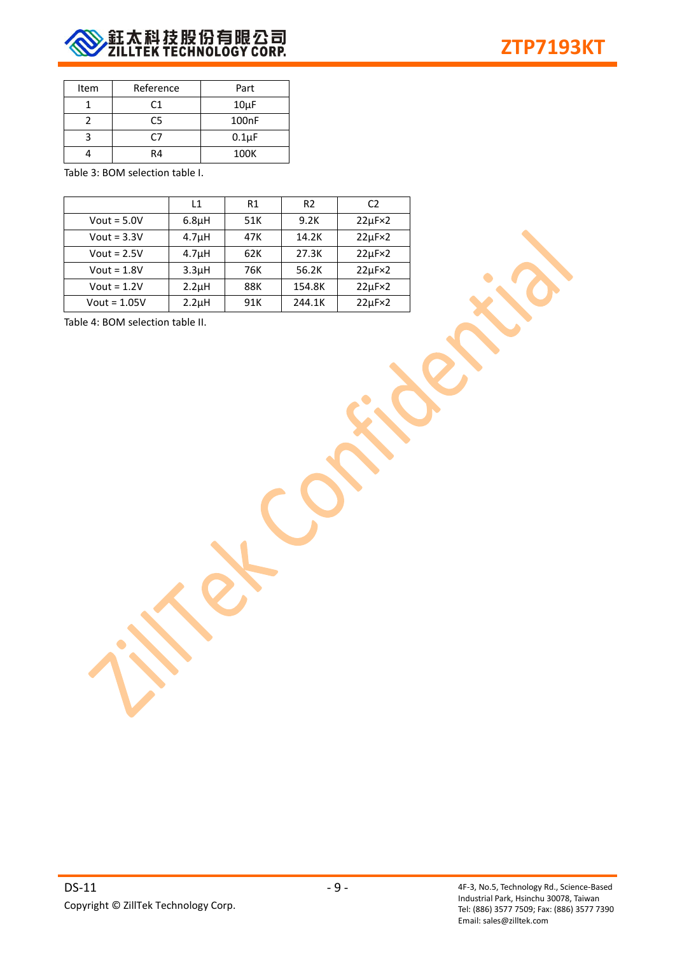

| Item | Reference | Part       |
|------|-----------|------------|
|      | C1        | $10\mu F$  |
|      | C5        | 100nF      |
|      | 77        | $0.1\mu F$ |
|      | R4        | 100K       |

Table 3: BOM selection table I.

|                | L1                 | R1  | R <sub>2</sub> | C <sub>2</sub>     |
|----------------|--------------------|-----|----------------|--------------------|
| Vout = $5.0V$  | 6.8 <sub>µ</sub> H | 51K | 9.2K           | $22\mu F \times 2$ |
| Vout = $3.3V$  | 4.7 <sub>µ</sub> H | 47K | 14.2K          | $22\mu F \times 2$ |
| Vout = $2.5V$  | 4.7 <sub>µ</sub> H | 62K | 27.3K          | $22\mu F \times 2$ |
| Vout = $1.8V$  | 3.3 <sub>µ</sub> H | 76K | 56.2K          | $22\mu F \times 2$ |
| Vout = $1.2V$  | 2.2 <sub>µ</sub> H | 88K | 154.8K         | $22\mu F \times 2$ |
| Vout = $1.05V$ | $2.2\mu$ H         | 91K | 244.1K         | $22\mu F \times 2$ |

Table 4: BOM selection table II.